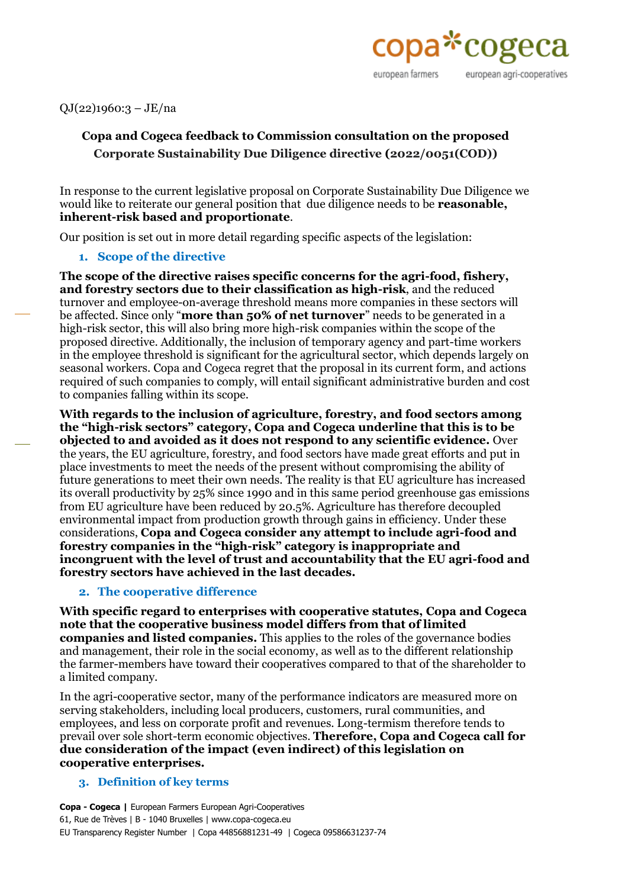

QJ(22)1960:3 – JE/na

# **Copa and Cogeca feedback to Commission consultation on the proposed Corporate Sustainability Due Diligence directive (2022/0051(COD))**

In response to the current legislative proposal on Corporate Sustainability Due Diligence we would like to reiterate our general position that due diligence needs to be **reasonable, inherent-risk based and proportionate**.

Our position is set out in more detail regarding specific aspects of the legislation:

#### **1. Scope of the directive**

**The scope of the directive raises specific concerns for the agri-food, fishery, and forestry sectors due to their classification as high-risk**, and the reduced turnover and employee-on-average threshold means more companies in these sectors will be affected. Since only "**more than 50% of net turnover**" needs to be generated in a high-risk sector, this will also bring more high-risk companies within the scope of the proposed directive. Additionally, the inclusion of temporary agency and part-time workers in the employee threshold is significant for the agricultural sector, which depends largely on seasonal workers. Copa and Cogeca regret that the proposal in its current form, and actions required of such companies to comply, will entail significant administrative burden and cost to companies falling within its scope.

**With regards to the inclusion of agriculture, forestry, and food sectors among the "high-risk sectors" category, Copa and Cogeca underline that this is to be objected to and avoided as it does not respond to any scientific evidence.** Over the years, the EU agriculture, forestry, and food sectors have made great efforts and put in place investments to meet the needs of the present without compromising the ability of future generations to meet their own needs. The reality is that EU agriculture has increased its overall productivity by 25% since 1990 and in this same period greenhouse gas emissions from EU agriculture have been reduced by 20.5%. Agriculture has therefore decoupled environmental impact from production growth through gains in efficiency. Under these considerations, **Copa and Cogeca consider any attempt to include agri-food and forestry companies in the "high-risk" category is inappropriate and incongruent with the level of trust and accountability that the EU agri-food and forestry sectors have achieved in the last decades.**

#### **2. The cooperative difference**

**With specific regard to enterprises with cooperative statutes, Copa and Cogeca note that the cooperative business model differs from that of limited companies and listed companies.** This applies to the roles of the governance bodies and management, their role in the social economy, as well as to the different relationship the farmer-members have toward their cooperatives compared to that of the shareholder to a limited company.

In the agri-cooperative sector, many of the performance indicators are measured more on serving stakeholders, including local producers, customers, rural communities, and employees, and less on corporate profit and revenues. Long-termism therefore tends to prevail over sole short-term economic objectives. **Therefore, Copa and Cogeca call for due consideration of the impact (even indirect) of this legislation on cooperative enterprises.**

#### **3. Definition of key terms**

**Copa - Cogeca |** European Farmers European Agri-Cooperatives 61, Rue de Trèves | B - 1040 Bruxelles | www.copa-cogeca.eu EU Transparency Register Number | Copa 44856881231-49 | Cogeca 09586631237-74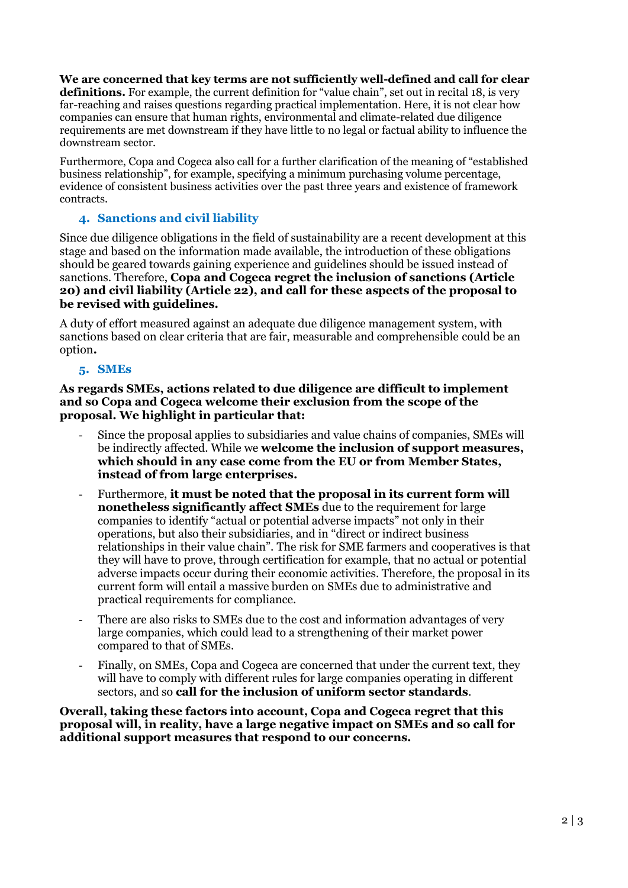**We are concerned that key terms are not sufficiently well-defined and call for clear definitions.** For example, the current definition for "value chain", set out in recital 18, is very far-reaching and raises questions regarding practical implementation. Here, it is not clear how companies can ensure that human rights, environmental and climate-related due diligence requirements are met downstream if they have little to no legal or factual ability to influence the downstream sector.

Furthermore, Copa and Cogeca also call for a further clarification of the meaning of "established business relationship", for example, specifying a minimum purchasing volume percentage, evidence of consistent business activities over the past three years and existence of framework contracts.

## **4. Sanctions and civil liability**

Since due diligence obligations in the field of sustainability are a recent development at this stage and based on the information made available, the introduction of these obligations should be geared towards gaining experience and guidelines should be issued instead of sanctions. Therefore, **Copa and Cogeca regret the inclusion of sanctions (Article 20) and civil liability (Article 22), and call for these aspects of the proposal to be revised with guidelines.** 

A duty of effort measured against an adequate due diligence management system, with sanctions based on clear criteria that are fair, measurable and comprehensible could be an option**.**

## **5. SMEs**

**As regards SMEs, actions related to due diligence are difficult to implement and so Copa and Cogeca welcome their exclusion from the scope of the proposal. We highlight in particular that:** 

- Since the proposal applies to subsidiaries and value chains of companies, SMEs will be indirectly affected. While we **welcome the inclusion of support measures, which should in any case come from the EU or from Member States, instead of from large enterprises.**
- Furthermore, **it must be noted that the proposal in its current form will nonetheless significantly affect SMEs** due to the requirement for large companies to identify "actual or potential adverse impacts" not only in their operations, but also their subsidiaries, and in "direct or indirect business relationships in their value chain". The risk for SME farmers and cooperatives is that they will have to prove, through certification for example, that no actual or potential adverse impacts occur during their economic activities. Therefore, the proposal in its current form will entail a massive burden on SMEs due to administrative and practical requirements for compliance.
- There are also risks to SMEs due to the cost and information advantages of very large companies, which could lead to a strengthening of their market power compared to that of SMEs.
- Finally, on SMEs, Copa and Cogeca are concerned that under the current text, they will have to comply with different rules for large companies operating in different sectors, and so **call for the inclusion of uniform sector standards**.

**Overall, taking these factors into account, Copa and Cogeca regret that this proposal will, in reality, have a large negative impact on SMEs and so call for additional support measures that respond to our concerns.**